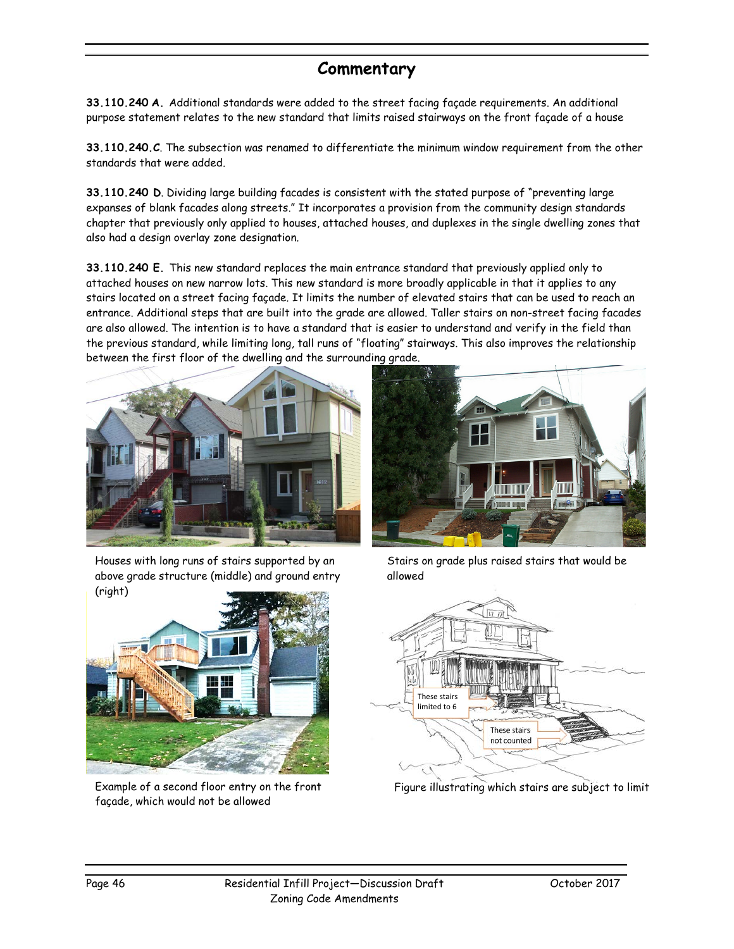## **Commentary**

**33.110.240 A.** Additional standards were added to the street facing façade requirements. An additional purpose statement relates to the new standard that limits raised stairways on the front façade of a house

**33.110.240.C**. The subsection was renamed to differentiate the minimum window requirement from the other standards that were added.

**33.110.240 D**. Dividing large building facades is consistent with the stated purpose of "preventing large expanses of blank facades along streets." It incorporates a provision from the community design standards chapter that previously only applied to houses, attached houses, and duplexes in the single dwelling zones that also had a design overlay zone designation.

**33.110.240 E.** This new standard replaces the main entrance standard that previously applied only to attached houses on new narrow lots. This new standard is more broadly applicable in that it applies to any stairs located on a street facing façade. It limits the number of elevated stairs that can be used to reach an entrance. Additional steps that are built into the grade are allowed. Taller stairs on non-street facing facades are also allowed. The intention is to have a standard that is easier to understand and verify in the field than the previous standard, while limiting long, tall runs of "floating" stairways. This also improves the relationship between the first floor of the dwelling and the surrounding grade.



Houses with long runs of stairs supported by an above grade structure (middle) and ground entry (right)



Example of a second floor entry on the front façade, which would not be allowed



Stairs on grade plus raised stairs that would be allowed



Figure illustrating which stairs are subject to limit